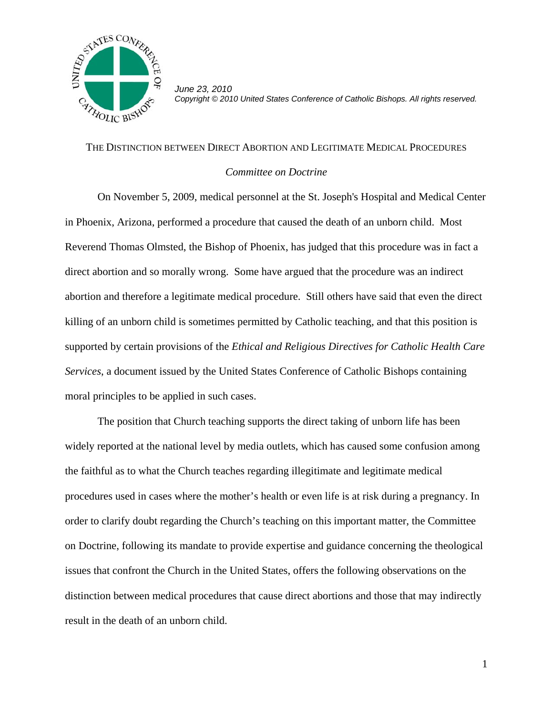

*June 23, 2010 Copyright © 2010 United States Conference of Catholic Bishops. All rights reserved.*

## THE DISTINCTION BETWEEN DIRECT ABORTION AND LEGITIMATE MEDICAL PROCEDURES

## *Committee on Doctrine*

 On November 5, 2009, medical personnel at the St. Joseph's Hospital and Medical Center in Phoenix, Arizona, performed a procedure that caused the death of an unborn child. Most Reverend Thomas Olmsted, the Bishop of Phoenix, has judged that this procedure was in fact a direct abortion and so morally wrong. Some have argued that the procedure was an indirect abortion and therefore a legitimate medical procedure. Still others have said that even the direct killing of an unborn child is sometimes permitted by Catholic teaching, and that this position is supported by certain provisions of the *Ethical and Religious Directives for Catholic Health Care Services*, a document issued by the United States Conference of Catholic Bishops containing moral principles to be applied in such cases.

 The position that Church teaching supports the direct taking of unborn life has been widely reported at the national level by media outlets, which has caused some confusion among the faithful as to what the Church teaches regarding illegitimate and legitimate medical procedures used in cases where the mother's health or even life is at risk during a pregnancy. In order to clarify doubt regarding the Church's teaching on this important matter, the Committee on Doctrine, following its mandate to provide expertise and guidance concerning the theological issues that confront the Church in the United States, offers the following observations on the distinction between medical procedures that cause direct abortions and those that may indirectly result in the death of an unborn child.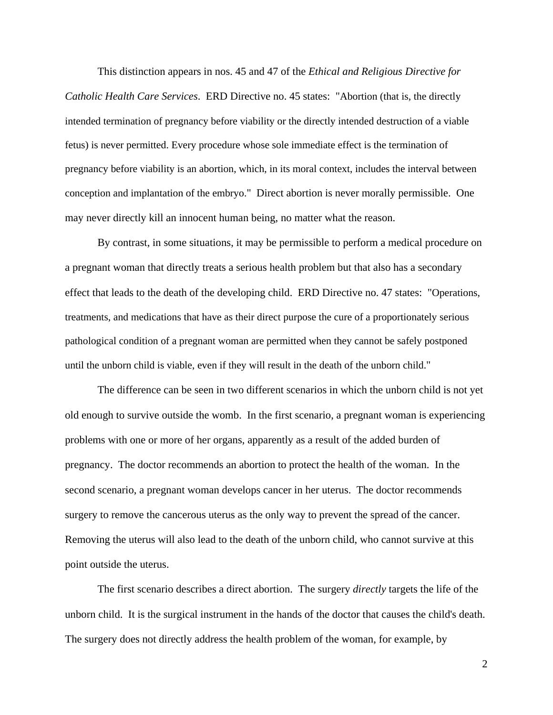This distinction appears in nos. 45 and 47 of the *Ethical and Religious Directive for Catholic Health Care Services*. ERD Directive no. 45 states: "Abortion (that is, the directly intended termination of pregnancy before viability or the directly intended destruction of a viable fetus) is never permitted. Every procedure whose sole immediate effect is the termination of pregnancy before viability is an abortion, which, in its moral context, includes the interval between conception and implantation of the embryo." Direct abortion is never morally permissible. One may never directly kill an innocent human being, no matter what the reason.

 By contrast, in some situations, it may be permissible to perform a medical procedure on a pregnant woman that directly treats a serious health problem but that also has a secondary effect that leads to the death of the developing child. ERD Directive no. 47 states: "Operations, treatments, and medications that have as their direct purpose the cure of a proportionately serious pathological condition of a pregnant woman are permitted when they cannot be safely postponed until the unborn child is viable, even if they will result in the death of the unborn child."

 The difference can be seen in two different scenarios in which the unborn child is not yet old enough to survive outside the womb. In the first scenario, a pregnant woman is experiencing problems with one or more of her organs, apparently as a result of the added burden of pregnancy. The doctor recommends an abortion to protect the health of the woman. In the second scenario, a pregnant woman develops cancer in her uterus. The doctor recommends surgery to remove the cancerous uterus as the only way to prevent the spread of the cancer. Removing the uterus will also lead to the death of the unborn child, who cannot survive at this point outside the uterus.

 The first scenario describes a direct abortion. The surgery *directly* targets the life of the unborn child. It is the surgical instrument in the hands of the doctor that causes the child's death. The surgery does not directly address the health problem of the woman, for example, by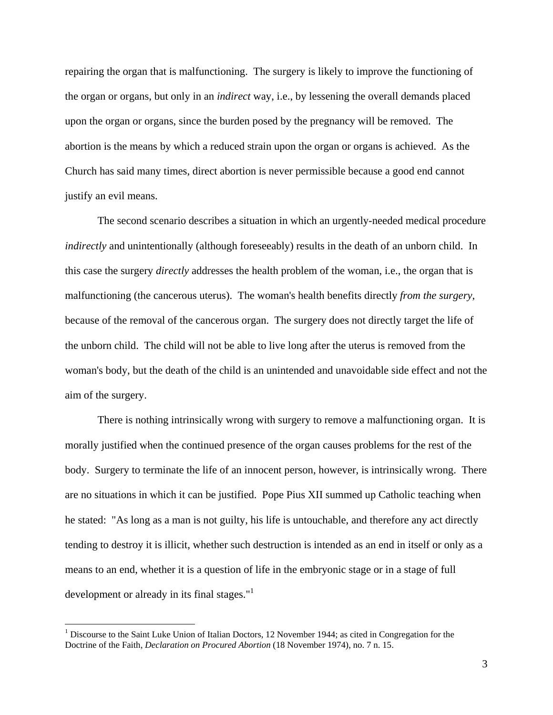repairing the organ that is malfunctioning. The surgery is likely to improve the functioning of the organ or organs, but only in an *indirect* way, i.e., by lessening the overall demands placed upon the organ or organs, since the burden posed by the pregnancy will be removed. The abortion is the means by which a reduced strain upon the organ or organs is achieved. As the Church has said many times, direct abortion is never permissible because a good end cannot justify an evil means.

 The second scenario describes a situation in which an urgently-needed medical procedure *indirectly* and unintentionally (although foreseeably) results in the death of an unborn child. In this case the surgery *directly* addresses the health problem of the woman, i.e., the organ that is malfunctioning (the cancerous uterus). The woman's health benefits directly *from the surgery,* because of the removal of the cancerous organ. The surgery does not directly target the life of the unborn child. The child will not be able to live long after the uterus is removed from the woman's body, but the death of the child is an unintended and unavoidable side effect and not the aim of the surgery.

 There is nothing intrinsically wrong with surgery to remove a malfunctioning organ. It is morally justified when the continued presence of the organ causes problems for the rest of the body. Surgery to terminate the life of an innocent person, however, is intrinsically wrong. There are no situations in which it can be justified. Pope Pius XII summed up Catholic teaching when he stated: "As long as a man is not guilty, his life is untouchable, and therefore any act directly tending to destroy it is illicit, whether such destruction is intended as an end in itself or only as a means to an end, whether it is a question of life in the embryonic stage or in a stage of full development or already in its final stages."<sup>1</sup>

 $\overline{a}$ 

<sup>&</sup>lt;sup>1</sup> Discourse to the Saint Luke Union of Italian Doctors, 12 November 1944; as cited in Congregation for the Doctrine of the Faith, *Declaration on Procured Abortion* (18 November 1974), no. 7 n. 15.